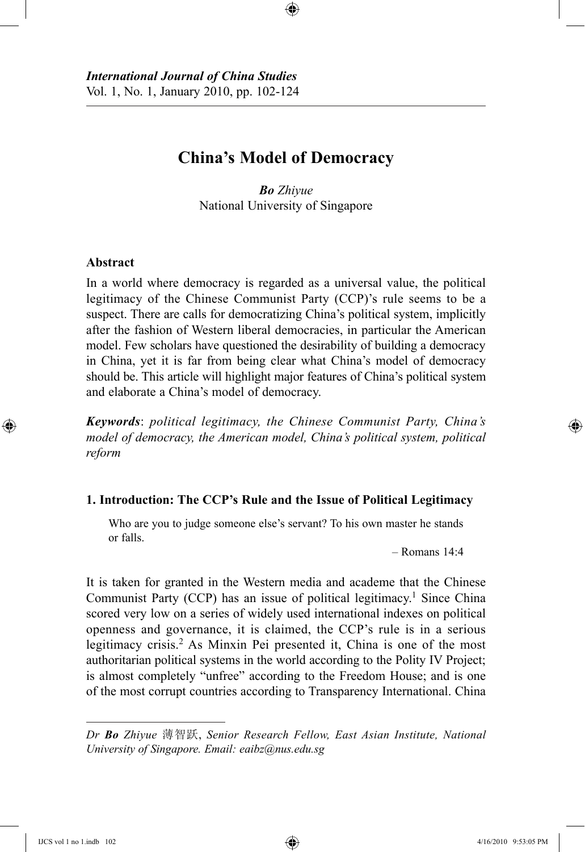# **China's Model of Democracy**

⊕

*Bo Zhiyue* National University of Singapore

# **Abstract**

⊕

In a world where democracy is regarded as a universal value, the political legitimacy of the Chinese Communist Party (CCP)'s rule seems to be a suspect. There are calls for democratizing China's political system, implicitly after the fashion of Western liberal democracies, in particular the American model. Few scholars have questioned the desirability of building a democracy in China, yet it is far from being clear what China's model of democracy should be. This article will highlight major features of China's political system and elaborate a China's model of democracy.

*Keywords*: *political legitimacy, the Chinese Communist Party, China's model of democracy, the American model, China's political system, political reform*

#### **1. Introduction: The CCP's Rule and the Issue of Political Legitimacy**

Who are you to judge someone else's servant? To his own master he stands or falls.

 $-$  Romans  $14.4$ 

It is taken for granted in the Western media and academe that the Chinese Communist Party (CCP) has an issue of political legitimacy.<sup>1</sup> Since China scored very low on a series of widely used international indexes on political openness and governance, it is claimed, the CCP's rule is in a serious legitimacy crisis.2 As Minxin Pei presented it, China is one of the most authoritarian political systems in the world according to the Polity IV Project; is almost completely "unfree" according to the Freedom House; and is one of the most corrupt countries according to Transparency International. China

*Dr Bo Zhiyue* 薄智跃, *Senior Research Fellow, East Asian Institute, National University of Singapore. Email: eaibz@nus.edu.sg*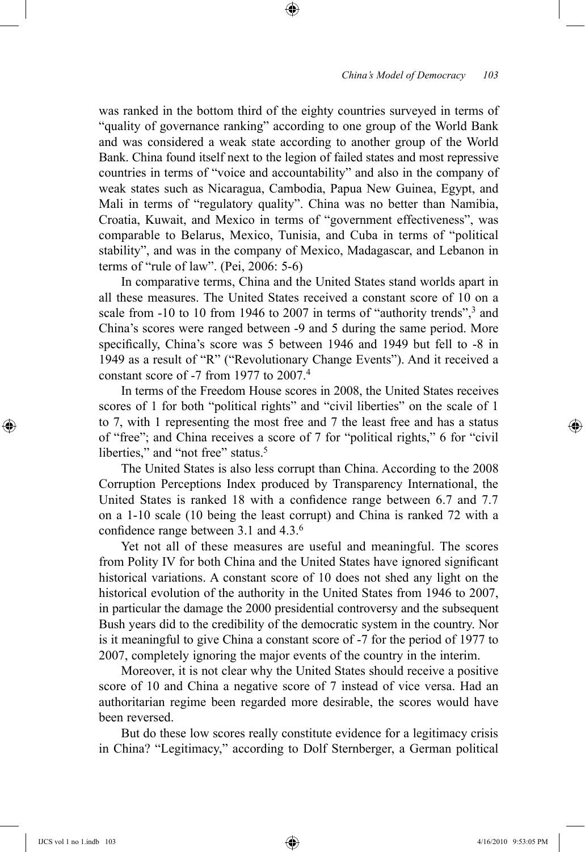was ranked in the bottom third of the eighty countries surveyed in terms of "quality of governance ranking" according to one group of the World Bank and was considered a weak state according to another group of the World Bank. China found itself next to the legion of failed states and most repressive countries in terms of "voice and accountability" and also in the company of weak states such as Nicaragua, Cambodia, Papua New Guinea, Egypt, and Mali in terms of "regulatory quality". China was no better than Namibia, Croatia, Kuwait, and Mexico in terms of "government effectiveness", was comparable to Belarus, Mexico, Tunisia, and Cuba in terms of "political stability", and was in the company of Mexico, Madagascar, and Lebanon in terms of "rule of law". (Pei, 2006: 5-6)

⊕

In comparative terms, China and the United States stand worlds apart in all these measures. The United States received a constant score of 10 on a scale from -10 to 10 from 1946 to 2007 in terms of "authority trends",<sup>3</sup> and China's scores were ranged between -9 and 5 during the same period. More specifically, China's score was 5 between 1946 and 1949 but fell to -8 in 1949 as a result of "R" ("Revolutionary Change Events"). And it received a constant score of -7 from 1977 to 2007.4

In terms of the Freedom House scores in 2008, the United States receives scores of 1 for both "political rights" and "civil liberties" on the scale of 1 to 7, with 1 representing the most free and 7 the least free and has a status of "free"; and China receives a score of 7 for "political rights," 6 for "civil liberties," and "not free" status.<sup>5</sup>

The United States is also less corrupt than China. According to the 2008 Corruption Perceptions Index produced by Transparency International, the United States is ranked 18 with a confidence range between 6.7 and 7.7 on a 1-10 scale (10 being the least corrupt) and China is ranked 72 with a confidence range between 3.1 and 4.3.<sup>6</sup>

Yet not all of these measures are useful and meaningful. The scores from Polity IV for both China and the United States have ignored significant historical variations. A constant score of 10 does not shed any light on the historical evolution of the authority in the United States from 1946 to 2007, in particular the damage the 2000 presidential controversy and the subsequent Bush years did to the credibility of the democratic system in the country. Nor is it meaningful to give China a constant score of -7 for the period of 1977 to 2007, completely ignoring the major events of the country in the interim.

Moreover, it is not clear why the United States should receive a positive score of 10 and China a negative score of 7 instead of vice versa. Had an authoritarian regime been regarded more desirable, the scores would have been reversed.

But do these low scores really constitute evidence for a legitimacy crisis in China? "Legitimacy," according to Dolf Sternberger, a German political

⊕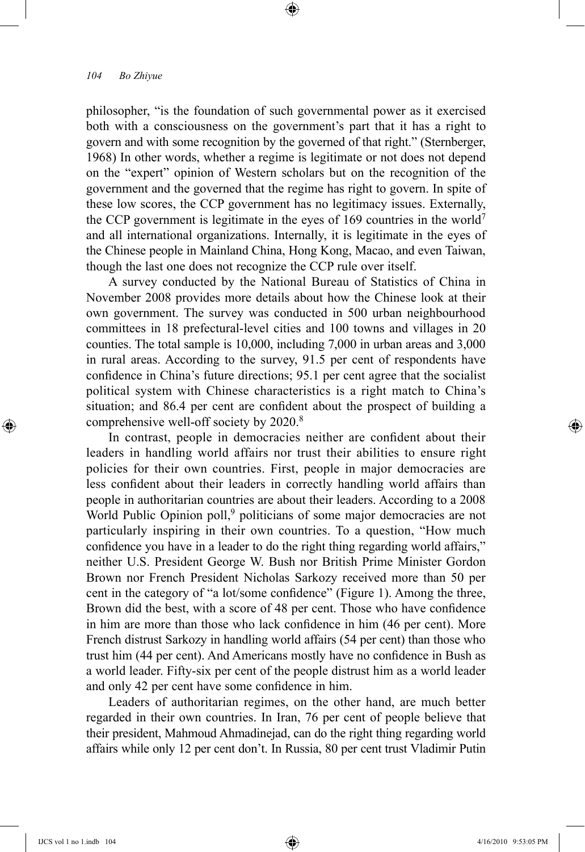philosopher, "is the foundation of such governmental power as it exercised both with a consciousness on the government's part that it has a right to govern and with some recognition by the governed of that right." (Sternberger, 1968) In other words, whether a regime is legitimate or not does not depend on the "expert" opinion of Western scholars but on the recognition of the government and the governed that the regime has right to govern. In spite of these low scores, the CCP government has no legitimacy issues. Externally, the CCP government is legitimate in the eyes of 169 countries in the world7 and all international organizations. Internally, it is legitimate in the eyes of the Chinese people in Mainland China, Hong Kong, Macao, and even Taiwan, though the last one does not recognize the CCP rule over itself.

⊕

A survey conducted by the National Bureau of Statistics of China in November 2008 provides more details about how the Chinese look at their own government. The survey was conducted in 500 urban neighbourhood committees in 18 prefectural-level cities and 100 towns and villages in 20 counties. The total sample is 10,000, including 7,000 in urban areas and 3,000 in rural areas. According to the survey, 91.5 per cent of respondents have confidence in China's future directions; 95.1 per cent agree that the socialist political system with Chinese characteristics is a right match to China's situation; and 86.4 per cent are confident about the prospect of building a comprehensive well-off society by 2020.<sup>8</sup>

In contrast, people in democracies neither are confident about their leaders in handling world affairs nor trust their abilities to ensure right policies for their own countries. First, people in major democracies are less confident about their leaders in correctly handling world affairs than people in authoritarian countries are about their leaders. According to a 2008 World Public Opinion poll,<sup>9</sup> politicians of some major democracies are not particularly inspiring in their own countries. To a question, "How much confidence you have in a leader to do the right thing regarding world affairs," neither U.S. President George W. Bush nor British Prime Minister Gordon Brown nor French President Nicholas Sarkozy received more than 50 per cent in the category of "a lot/some confidence" (Figure 1). Among the three, Brown did the best, with a score of 48 per cent. Those who have confidence in him are more than those who lack confidence in him (46 per cent). More French distrust Sarkozy in handling world affairs (54 per cent) than those who trust him (44 per cent). And Americans mostly have no confidence in Bush as a world leader. Fifty-six per cent of the people distrust him as a world leader and only 42 per cent have some confidence in him.

Leaders of authoritarian regimes, on the other hand, are much better regarded in their own countries. In Iran, 76 per cent of people believe that their president, Mahmoud Ahmadinejad, can do the right thing regarding world affairs while only 12 per cent don't. In Russia, 80 per cent trust Vladimir Putin

⊕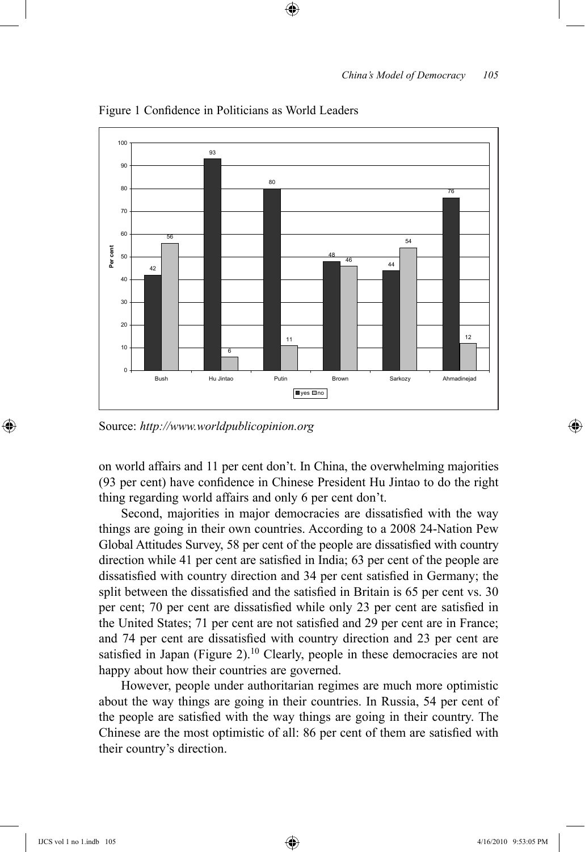

⊕

Figure 1 Confidence in Politicians as World Leaders

Source: *http://www.worldpublicopinion.org*

on world affairs and 11 per cent don't. In China, the overwhelming majorities (93 per cent) have confidence in Chinese President Hu Jintao to do the right thing regarding world affairs and only 6 per cent don't.

Second, majorities in major democracies are dissatisfied with the way things are going in their own countries. According to a 2008 24-Nation Pew Global Attitudes Survey, 58 per cent of the people are dissatisfied with country direction while 41 per cent are satisfied in India; 63 per cent of the people are dissatisfied with country direction and 34 per cent satisfied in Germany; the split between the dissatisfied and the satisfied in Britain is 65 per cent vs. 30 per cent; 70 per cent are dissatisfied while only 23 per cent are satisfied in the United States; 71 per cent are not satisfied and 29 per cent are in France; and 74 per cent are dissatisfied with country direction and 23 per cent are satisfied in Japan (Figure 2).<sup>10</sup> Clearly, people in these democracies are not happy about how their countries are governed.

However, people under authoritarian regimes are much more optimistic about the way things are going in their countries. In Russia, 54 per cent of the people are satisfied with the way things are going in their country. The Chinese are the most optimistic of all: 86 per cent of them are satisfied with their country's direction.

⊕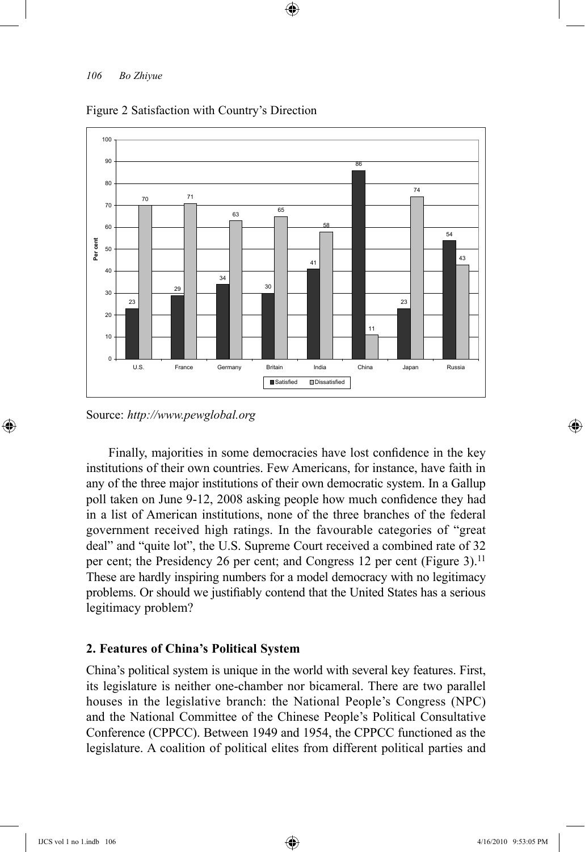

⊕

#### Figure 2 Satisfaction with Country's Direction

Source: *http://www.pewglobal.org*

Finally, majorities in some democracies have lost confidence in the key institutions of their own countries. Few Americans, for instance, have faith in any of the three major institutions of their own democratic system. In a Gallup poll taken on June 9-12, 2008 asking people how much confidence they had in a list of American institutions, none of the three branches of the federal government received high ratings. In the favourable categories of "great deal" and "quite lot", the U.S. Supreme Court received a combined rate of 32 per cent; the Presidency 26 per cent; and Congress 12 per cent (Figure 3).<sup>11</sup> These are hardly inspiring numbers for a model democracy with no legitimacy problems. Or should we justifiably contend that the United States has a serious legitimacy problem?

## **2. Features of China's Political System**

China's political system is unique in the world with several key features. First, its legislature is neither one-chamber nor bicameral. There are two parallel houses in the legislative branch: the National People's Congress (NPC) and the National Committee of the Chinese People's Political Consultative Conference (CPPCC). Between 1949 and 1954, the CPPCC functioned as the legislature. A coalition of political elites from different political parties and

⊕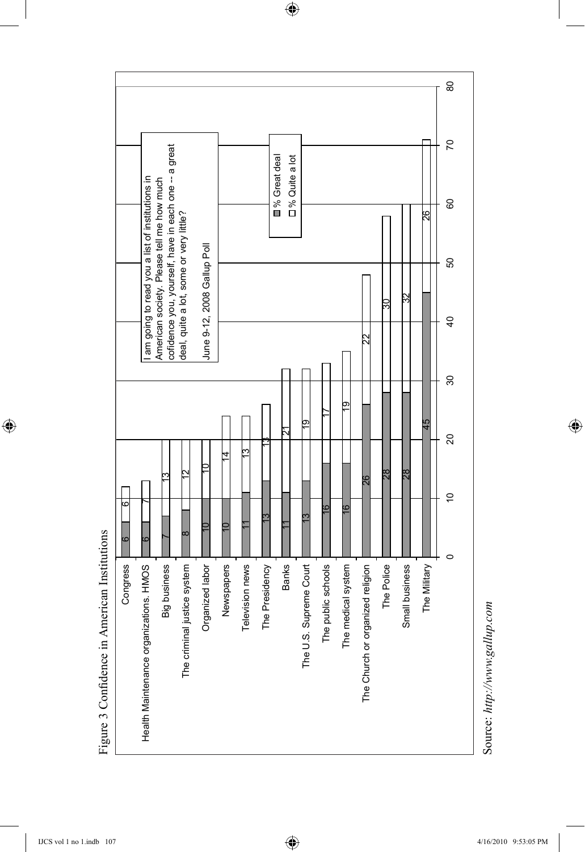

 $\bigoplus$ 

Figure 3 Confidence in American Institutions Figure 3 Confidence in American Institutions

 $\bigoplus$ 

Source: http://www.gallup.com Source: *http://www.gallup.com*

 $\bigoplus$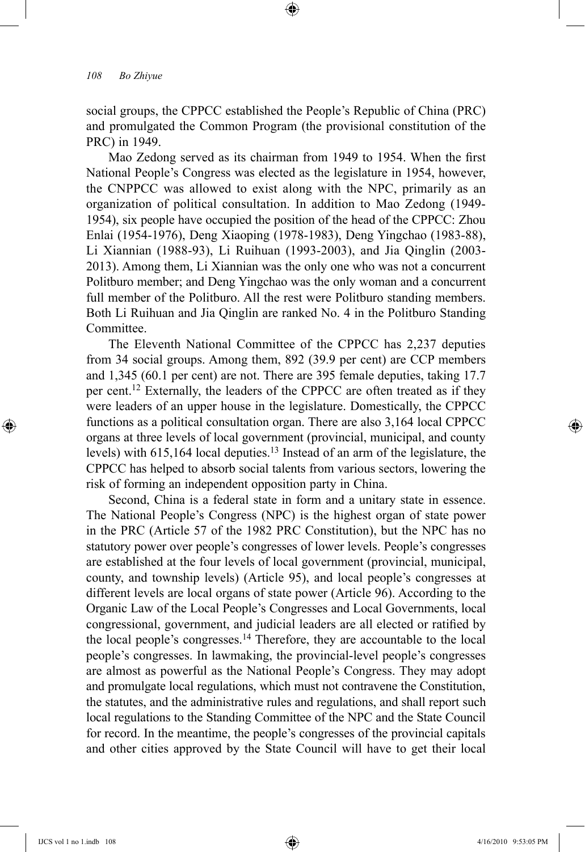social groups, the CPPCC established the People's Republic of China (PRC) and promulgated the Common Program (the provisional constitution of the PRC) in 1949.

⊕

Mao Zedong served as its chairman from 1949 to 1954. When the first National People's Congress was elected as the legislature in 1954, however, the CNPPCC was allowed to exist along with the NPC, primarily as an organization of political consultation. In addition to Mao Zedong (1949- 1954), six people have occupied the position of the head of the CPPCC: Zhou Enlai (1954-1976), Deng Xiaoping (1978-1983), Deng Yingchao (1983-88), Li Xiannian (1988-93), Li Ruihuan (1993-2003), and Jia Qinglin (2003- 2013). Among them, Li Xiannian was the only one who was not a concurrent Politburo member; and Deng Yingchao was the only woman and a concurrent full member of the Politburo. All the rest were Politburo standing members. Both Li Ruihuan and Jia Qinglin are ranked No. 4 in the Politburo Standing Committee.

The Eleventh National Committee of the CPPCC has 2,237 deputies from 34 social groups. Among them, 892 (39.9 per cent) are CCP members and 1,345 (60.1 per cent) are not. There are 395 female deputies, taking 17.7 per cent.<sup>12</sup> Externally, the leaders of the CPPCC are often treated as if they were leaders of an upper house in the legislature. Domestically, the CPPCC functions as a political consultation organ. There are also 3,164 local CPPCC organs at three levels of local government (provincial, municipal, and county levels) with 615,164 local deputies.13 Instead of an arm of the legislature, the CPPCC has helped to absorb social talents from various sectors, lowering the risk of forming an independent opposition party in China.

Second, China is a federal state in form and a unitary state in essence. The National People's Congress (NPC) is the highest organ of state power in the PRC (Article 57 of the 1982 PRC Constitution), but the NPC has no statutory power over people's congresses of lower levels. People's congresses are established at the four levels of local government (provincial, municipal, county, and township levels) (Article 95), and local people's congresses at different levels are local organs of state power (Article 96). According to the Organic Law of the Local People's Congresses and Local Governments, local congressional, government, and judicial leaders are all elected or ratified by the local people's congresses.<sup>14</sup> Therefore, they are accountable to the local people's congresses. In lawmaking, the provincial-level people's congresses are almost as powerful as the National People's Congress. They may adopt and promulgate local regulations, which must not contravene the Constitution, the statutes, and the administrative rules and regulations, and shall report such local regulations to the Standing Committee of the NPC and the State Council for record. In the meantime, the people's congresses of the provincial capitals and other cities approved by the State Council will have to get their local

⊕

↔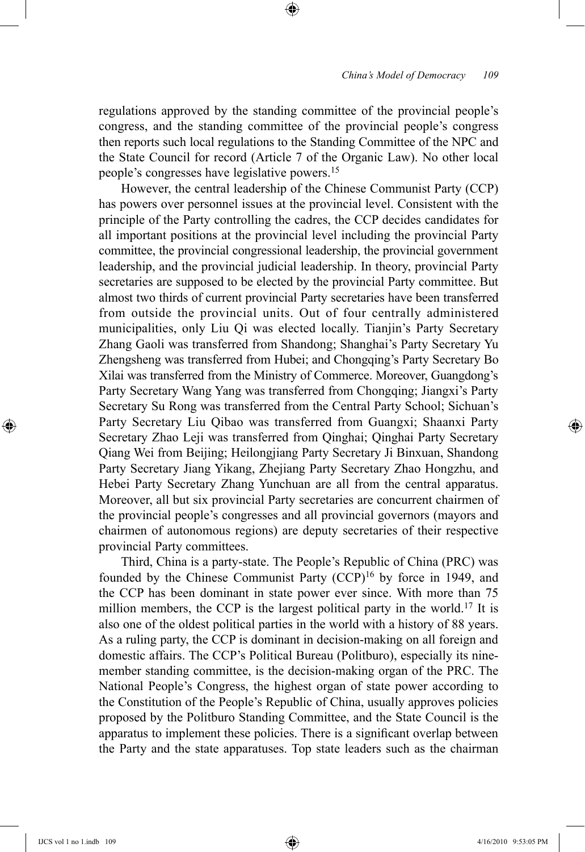regulations approved by the standing committee of the provincial people's congress, and the standing committee of the provincial people's congress then reports such local regulations to the Standing Committee of the NPC and the State Council for record (Article 7 of the Organic Law). No other local people's congresses have legislative powers.15

⊕

However, the central leadership of the Chinese Communist Party (CCP) has powers over personnel issues at the provincial level. Consistent with the principle of the Party controlling the cadres, the CCP decides candidates for all important positions at the provincial level including the provincial Party committee, the provincial congressional leadership, the provincial government leadership, and the provincial judicial leadership. In theory, provincial Party secretaries are supposed to be elected by the provincial Party committee. But almost two thirds of current provincial Party secretaries have been transferred from outside the provincial units. Out of four centrally administered municipalities, only Liu Qi was elected locally. Tianjin's Party Secretary Zhang Gaoli was transferred from Shandong; Shanghai's Party Secretary Yu Zhengsheng was transferred from Hubei; and Chongqing's Party Secretary Bo Xilai was transferred from the Ministry of Commerce. Moreover, Guangdong's Party Secretary Wang Yang was transferred from Chongqing; Jiangxi's Party Secretary Su Rong was transferred from the Central Party School; Sichuan's Party Secretary Liu Qibao was transferred from Guangxi; Shaanxi Party Secretary Zhao Leji was transferred from Qinghai; Qinghai Party Secretary Qiang Wei from Beijing; Heilongjiang Party Secretary Ji Binxuan, Shandong Party Secretary Jiang Yikang, Zhejiang Party Secretary Zhao Hongzhu, and Hebei Party Secretary Zhang Yunchuan are all from the central apparatus. Moreover, all but six provincial Party secretaries are concurrent chairmen of the provincial people's congresses and all provincial governors (mayors and chairmen of autonomous regions) are deputy secretaries of their respective provincial Party committees.

Third, China is a party-state. The People's Republic of China (PRC) was founded by the Chinese Communist Party (CCP)<sup>16</sup> by force in 1949, and the CCP has been dominant in state power ever since. With more than 75 million members, the CCP is the largest political party in the world.<sup>17</sup> It is also one of the oldest political parties in the world with a history of 88 years. As a ruling party, the CCP is dominant in decision-making on all foreign and domestic affairs. The CCP's Political Bureau (Politburo), especially its ninemember standing committee, is the decision-making organ of the PRC. The National People's Congress, the highest organ of state power according to the Constitution of the People's Republic of China, usually approves policies proposed by the Politburo Standing Committee, and the State Council is the apparatus to implement these policies. There is a significant overlap between the Party and the state apparatuses. Top state leaders such as the chairman

⊕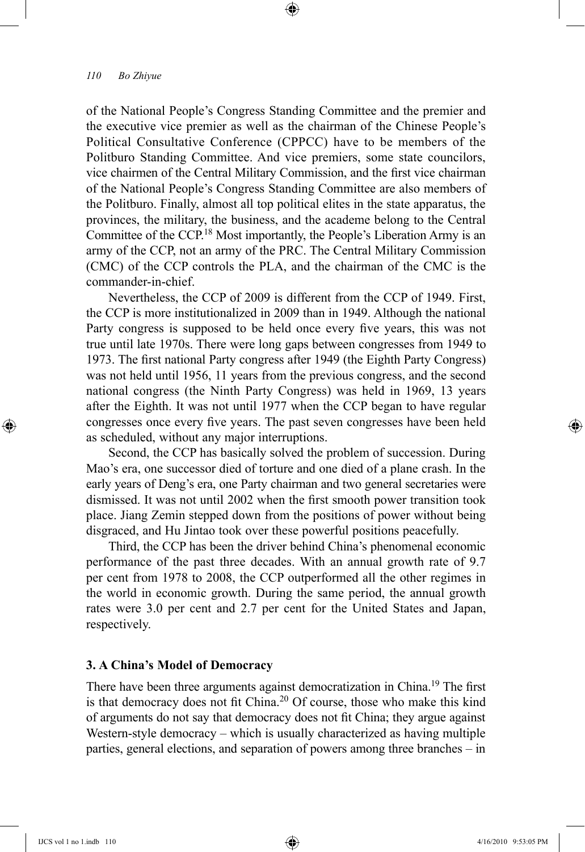of the National People's Congress Standing Committee and the premier and the executive vice premier as well as the chairman of the Chinese People's Political Consultative Conference (CPPCC) have to be members of the Politburo Standing Committee. And vice premiers, some state councilors, vice chairmen of the Central Military Commission, and the first vice chairman of the National People's Congress Standing Committee are also members of the Politburo. Finally, almost all top political elites in the state apparatus, the provinces, the military, the business, and the academe belong to the Central Committee of the CCP.<sup>18</sup> Most importantly, the People's Liberation Army is an army of the CCP, not an army of the PRC. The Central Military Commission (CMC) of the CCP controls the PLA, and the chairman of the CMC is the commander-in-chief.

⊕

Nevertheless, the CCP of 2009 is different from the CCP of 1949. First, the CCP is more institutionalized in 2009 than in 1949. Although the national Party congress is supposed to be held once every five years, this was not true until late 1970s. There were long gaps between congresses from 1949 to 1973. The first national Party congress after 1949 (the Eighth Party Congress) was not held until 1956, 11 years from the previous congress, and the second national congress (the Ninth Party Congress) was held in 1969, 13 years after the Eighth. It was not until 1977 when the CCP began to have regular congresses once every five years. The past seven congresses have been held as scheduled, without any major interruptions.

Second, the CCP has basically solved the problem of succession. During Mao's era, one successor died of torture and one died of a plane crash. In the early years of Deng's era, one Party chairman and two general secretaries were dismissed. It was not until 2002 when the first smooth power transition took place. Jiang Zemin stepped down from the positions of power without being disgraced, and Hu Jintao took over these powerful positions peacefully.

Third, the CCP has been the driver behind China's phenomenal economic performance of the past three decades. With an annual growth rate of 9.7 per cent from 1978 to 2008, the CCP outperformed all the other regimes in the world in economic growth. During the same period, the annual growth rates were 3.0 per cent and 2.7 per cent for the United States and Japan, respectively.

## **3. A China's Model of Democracy**

There have been three arguments against democratization in China.<sup>19</sup> The first is that democracy does not fit China.<sup>20</sup> Of course, those who make this kind of arguments do not say that democracy does not fit China; they argue against Western-style democracy – which is usually characterized as having multiple parties, general elections, and separation of powers among three branches – in

⊕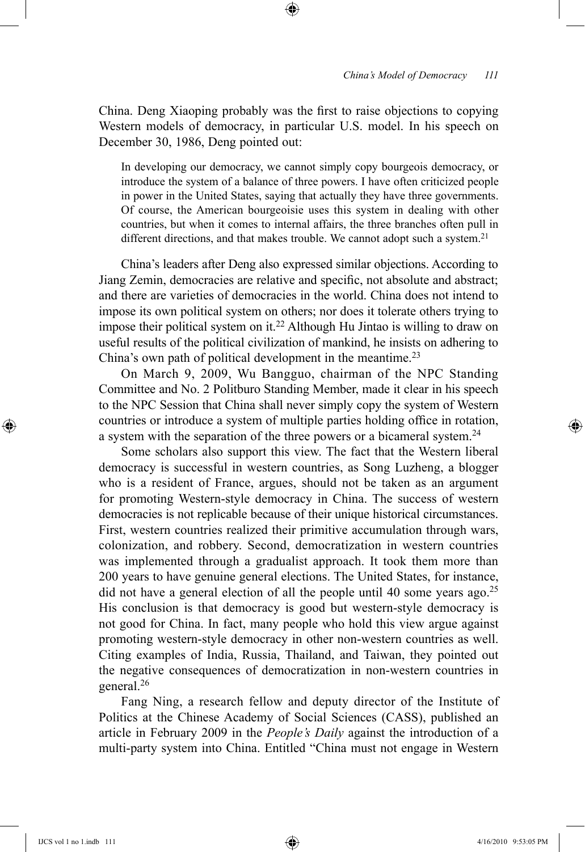China. Deng Xiaoping probably was the first to raise objections to copying Western models of democracy, in particular U.S. model. In his speech on December 30, 1986, Deng pointed out:

⊕

In developing our democracy, we cannot simply copy bourgeois democracy, or introduce the system of a balance of three powers. I have often criticized people in power in the United States, saying that actually they have three governments. Of course, the American bourgeoisie uses this system in dealing with other countries, but when it comes to internal affairs, the three branches often pull in different directions, and that makes trouble. We cannot adopt such a system.<sup>21</sup>

China's leaders after Deng also expressed similar objections. According to Jiang Zemin, democracies are relative and specific, not absolute and abstract; and there are varieties of democracies in the world. China does not intend to impose its own political system on others; nor does it tolerate others trying to impose their political system on it.22 Although Hu Jintao is willing to draw on useful results of the political civilization of mankind, he insists on adhering to China's own path of political development in the meantime.<sup>23</sup>

On March 9, 2009, Wu Bangguo, chairman of the NPC Standing Committee and No. 2 Politburo Standing Member, made it clear in his speech to the NPC Session that China shall never simply copy the system of Western countries or introduce a system of multiple parties holding office in rotation, a system with the separation of the three powers or a bicameral system.<sup>24</sup>

Some scholars also support this view. The fact that the Western liberal democracy is successful in western countries, as Song Luzheng, a blogger who is a resident of France, argues, should not be taken as an argument for promoting Western-style democracy in China. The success of western democracies is not replicable because of their unique historical circumstances. First, western countries realized their primitive accumulation through wars, colonization, and robbery. Second, democratization in western countries was implemented through a gradualist approach. It took them more than 200 years to have genuine general elections. The United States, for instance, did not have a general election of all the people until 40 some years ago.<sup>25</sup> His conclusion is that democracy is good but western-style democracy is not good for China. In fact, many people who hold this view argue against promoting western-style democracy in other non-western countries as well. Citing examples of India, Russia, Thailand, and Taiwan, they pointed out the negative consequences of democratization in non-western countries in general.26

Fang Ning, a research fellow and deputy director of the Institute of Politics at the Chinese Academy of Social Sciences (CASS), published an article in February 2009 in the *People's Daily* against the introduction of a multi-party system into China. Entitled "China must not engage in Western

⊕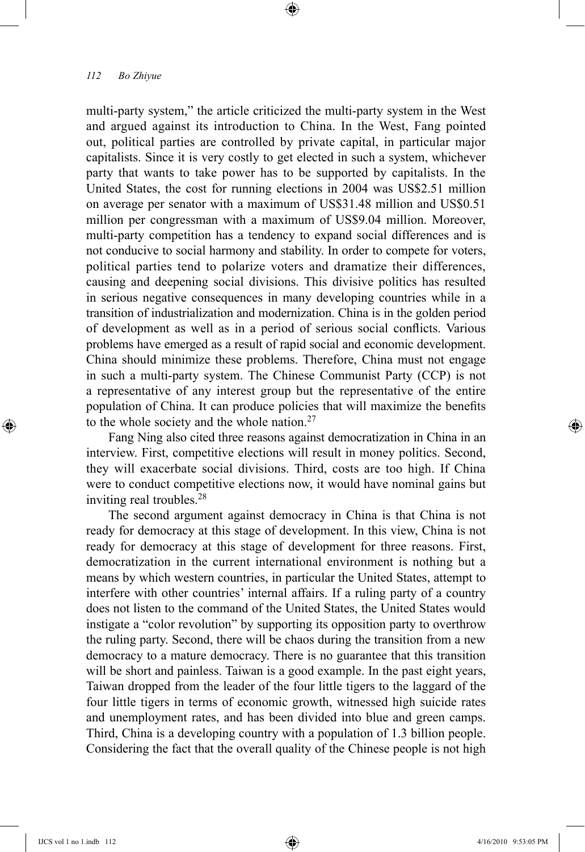multi-party system," the article criticized the multi-party system in the West and argued against its introduction to China. In the West, Fang pointed out, political parties are controlled by private capital, in particular major capitalists. Since it is very costly to get elected in such a system, whichever party that wants to take power has to be supported by capitalists. In the United States, the cost for running elections in 2004 was US\$2.51 million on average per senator with a maximum of US\$31.48 million and US\$0.51 million per congressman with a maximum of US\$9.04 million. Moreover, multi-party competition has a tendency to expand social differences and is not conducive to social harmony and stability. In order to compete for voters, political parties tend to polarize voters and dramatize their differences, causing and deepening social divisions. This divisive politics has resulted in serious negative consequences in many developing countries while in a transition of industrialization and modernization. China is in the golden period of development as well as in a period of serious social conflicts. Various problems have emerged as a result of rapid social and economic development. China should minimize these problems. Therefore, China must not engage in such a multi-party system. The Chinese Communist Party (CCP) is not a representative of any interest group but the representative of the entire population of China. It can produce policies that will maximize the benefits to the whole society and the whole nation.<sup>27</sup>

⊕

Fang Ning also cited three reasons against democratization in China in an interview. First, competitive elections will result in money politics. Second, they will exacerbate social divisions. Third, costs are too high. If China were to conduct competitive elections now, it would have nominal gains but inviting real troubles.<sup>28</sup>

The second argument against democracy in China is that China is not ready for democracy at this stage of development. In this view, China is not ready for democracy at this stage of development for three reasons. First, democratization in the current international environment is nothing but a means by which western countries, in particular the United States, attempt to interfere with other countries' internal affairs. If a ruling party of a country does not listen to the command of the United States, the United States would instigate a "color revolution" by supporting its opposition party to overthrow the ruling party. Second, there will be chaos during the transition from a new democracy to a mature democracy. There is no guarantee that this transition will be short and painless. Taiwan is a good example. In the past eight years, Taiwan dropped from the leader of the four little tigers to the laggard of the four little tigers in terms of economic growth, witnessed high suicide rates and unemployment rates, and has been divided into blue and green camps. Third, China is a developing country with a population of 1.3 billion people. Considering the fact that the overall quality of the Chinese people is not high

⊕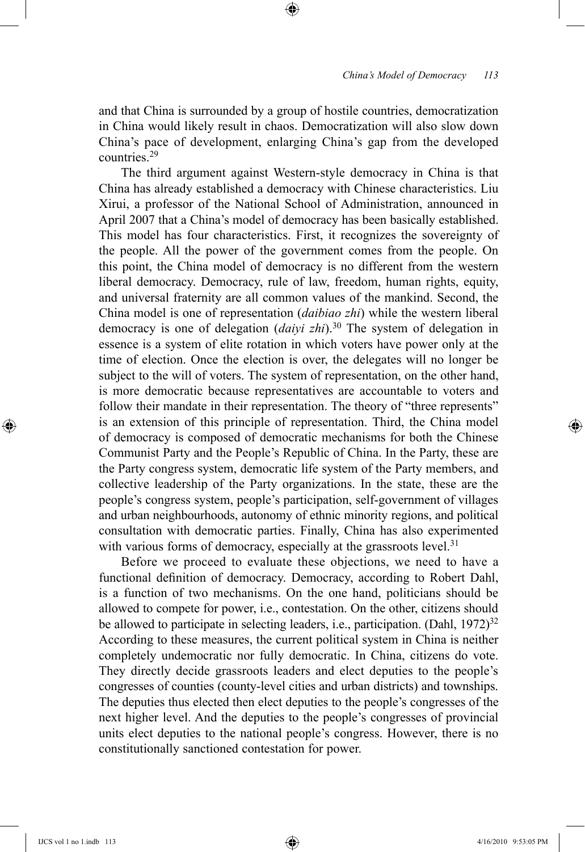and that China is surrounded by a group of hostile countries, democratization in China would likely result in chaos. Democratization will also slow down China's pace of development, enlarging China's gap from the developed countries.29

⊕

The third argument against Western-style democracy in China is that China has already established a democracy with Chinese characteristics. Liu Xirui, a professor of the National School of Administration, announced in April 2007 that a China's model of democracy has been basically established. This model has four characteristics. First, it recognizes the sovereignty of the people. All the power of the government comes from the people. On this point, the China model of democracy is no different from the western liberal democracy. Democracy, rule of law, freedom, human rights, equity, and universal fraternity are all common values of the mankind. Second, the China model is one of representation (*daibiao zhi*) while the western liberal democracy is one of delegation (*daiyi zhi*).30 The system of delegation in essence is a system of elite rotation in which voters have power only at the time of election. Once the election is over, the delegates will no longer be subject to the will of voters. The system of representation, on the other hand, is more democratic because representatives are accountable to voters and follow their mandate in their representation. The theory of "three represents" is an extension of this principle of representation. Third, the China model of democracy is composed of democratic mechanisms for both the Chinese Communist Party and the People's Republic of China. In the Party, these are the Party congress system, democratic life system of the Party members, and collective leadership of the Party organizations. In the state, these are the people's congress system, people's participation, self-government of villages and urban neighbourhoods, autonomy of ethnic minority regions, and political consultation with democratic parties. Finally, China has also experimented with various forms of democracy, especially at the grassroots level.<sup>31</sup>

Before we proceed to evaluate these objections, we need to have a functional definition of democracy. Democracy, according to Robert Dahl, is a function of two mechanisms. On the one hand, politicians should be allowed to compete for power, i.e., contestation. On the other, citizens should be allowed to participate in selecting leaders, i.e., participation.  $(Dahl, 1972)^{32}$ According to these measures, the current political system in China is neither completely undemocratic nor fully democratic. In China, citizens do vote. They directly decide grassroots leaders and elect deputies to the people's congresses of counties (county-level cities and urban districts) and townships. The deputies thus elected then elect deputies to the people's congresses of the next higher level. And the deputies to the people's congresses of provincial units elect deputies to the national people's congress. However, there is no constitutionally sanctioned contestation for power.

⊕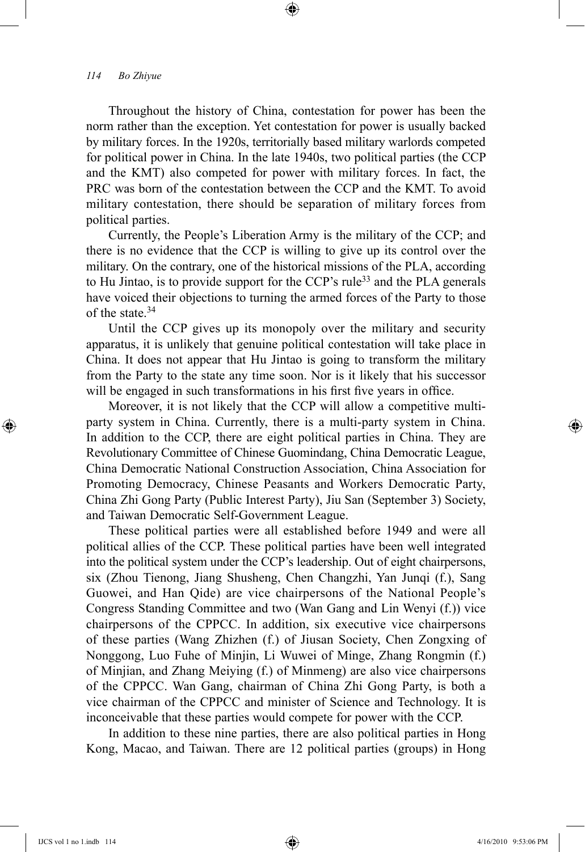Throughout the history of China, contestation for power has been the norm rather than the exception. Yet contestation for power is usually backed by military forces. In the 1920s, territorially based military warlords competed for political power in China. In the late 1940s, two political parties (the CCP and the KMT) also competed for power with military forces. In fact, the PRC was born of the contestation between the CCP and the KMT. To avoid military contestation, there should be separation of military forces from political parties.

⊕

Currently, the People's Liberation Army is the military of the CCP; and there is no evidence that the CCP is willing to give up its control over the military. On the contrary, one of the historical missions of the PLA, according to Hu Jintao, is to provide support for the CCP's rule<sup>33</sup> and the PLA generals have voiced their objections to turning the armed forces of the Party to those of the state.34

Until the CCP gives up its monopoly over the military and security apparatus, it is unlikely that genuine political contestation will take place in China. It does not appear that Hu Jintao is going to transform the military from the Party to the state any time soon. Nor is it likely that his successor will be engaged in such transformations in his first five years in office.

Moreover, it is not likely that the CCP will allow a competitive multiparty system in China. Currently, there is a multi-party system in China. In addition to the CCP, there are eight political parties in China. They are Revolutionary Committee of Chinese Guomindang, China Democratic League, China Democratic National Construction Association, China Association for Promoting Democracy, Chinese Peasants and Workers Democratic Party, China Zhi Gong Party (Public Interest Party), Jiu San (September 3) Society, and Taiwan Democratic Self-Government League.

These political parties were all established before 1949 and were all political allies of the CCP. These political parties have been well integrated into the political system under the CCP's leadership. Out of eight chairpersons, six (Zhou Tienong, Jiang Shusheng, Chen Changzhi, Yan Junqi (f.), Sang Guowei, and Han Qide) are vice chairpersons of the National People's Congress Standing Committee and two (Wan Gang and Lin Wenyi (f.)) vice chairpersons of the CPPCC. In addition, six executive vice chairpersons of these parties (Wang Zhizhen (f.) of Jiusan Society, Chen Zongxing of Nonggong, Luo Fuhe of Minjin, Li Wuwei of Minge, Zhang Rongmin (f.) of Minjian, and Zhang Meiying (f.) of Minmeng) are also vice chairpersons of the CPPCC. Wan Gang, chairman of China Zhi Gong Party, is both a vice chairman of the CPPCC and minister of Science and Technology. It is inconceivable that these parties would compete for power with the CCP.

In addition to these nine parties, there are also political parties in Hong Kong, Macao, and Taiwan. There are 12 political parties (groups) in Hong

⊕

↔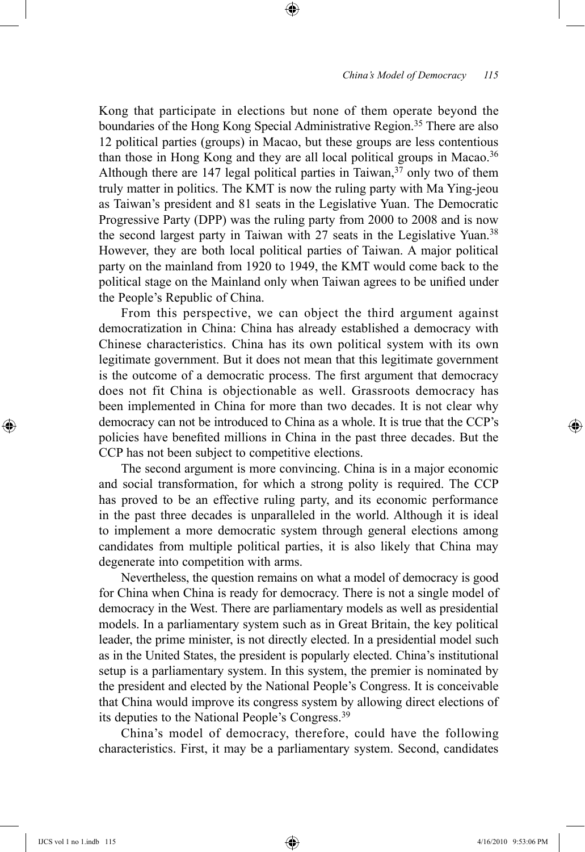Kong that participate in elections but none of them operate beyond the boundaries of the Hong Kong Special Administrative Region.<sup>35</sup> There are also 12 political parties (groups) in Macao, but these groups are less contentious than those in Hong Kong and they are all local political groups in Macao.<sup>36</sup> Although there are 147 legal political parties in Taiwan,  $37$  only two of them truly matter in politics. The KMT is now the ruling party with Ma Ying-jeou as Taiwan's president and 81 seats in the Legislative Yuan. The Democratic Progressive Party (DPP) was the ruling party from 2000 to 2008 and is now the second largest party in Taiwan with 27 seats in the Legislative Yuan.<sup>38</sup> However, they are both local political parties of Taiwan. A major political party on the mainland from 1920 to 1949, the KMT would come back to the political stage on the Mainland only when Taiwan agrees to be unified under the People's Republic of China.

⊕

From this perspective, we can object the third argument against democratization in China: China has already established a democracy with Chinese characteristics. China has its own political system with its own legitimate government. But it does not mean that this legitimate government is the outcome of a democratic process. The first argument that democracy does not fit China is objectionable as well. Grassroots democracy has been implemented in China for more than two decades. It is not clear why democracy can not be introduced to China as a whole. It is true that the CCP's policies have benefited millions in China in the past three decades. But the CCP has not been subject to competitive elections.

The second argument is more convincing. China is in a major economic and social transformation, for which a strong polity is required. The CCP has proved to be an effective ruling party, and its economic performance in the past three decades is unparalleled in the world. Although it is ideal to implement a more democratic system through general elections among candidates from multiple political parties, it is also likely that China may degenerate into competition with arms.

Nevertheless, the question remains on what a model of democracy is good for China when China is ready for democracy. There is not a single model of democracy in the West. There are parliamentary models as well as presidential models. In a parliamentary system such as in Great Britain, the key political leader, the prime minister, is not directly elected. In a presidential model such as in the United States, the president is popularly elected. China's institutional setup is a parliamentary system. In this system, the premier is nominated by the president and elected by the National People's Congress. It is conceivable that China would improve its congress system by allowing direct elections of its deputies to the National People's Congress.39

China's model of democracy, therefore, could have the following characteristics. First, it may be a parliamentary system. Second, candidates

⊕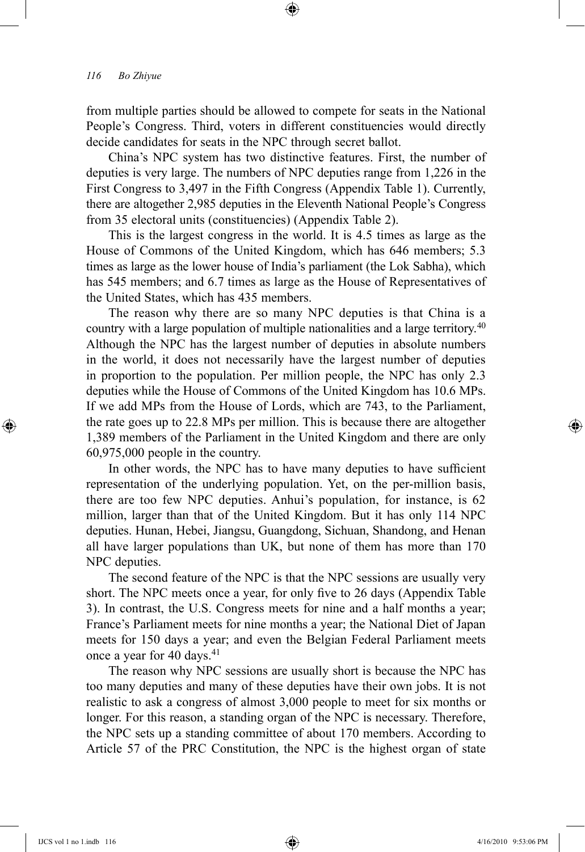from multiple parties should be allowed to compete for seats in the National People's Congress. Third, voters in different constituencies would directly decide candidates for seats in the NPC through secret ballot.

⊕

China's NPC system has two distinctive features. First, the number of deputies is very large. The numbers of NPC deputies range from 1,226 in the First Congress to 3,497 in the Fifth Congress (Appendix Table 1). Currently, there are altogether 2,985 deputies in the Eleventh National People's Congress from 35 electoral units (constituencies) (Appendix Table 2).

This is the largest congress in the world. It is 4.5 times as large as the House of Commons of the United Kingdom, which has 646 members; 5.3 times as large as the lower house of India's parliament (the Lok Sabha), which has 545 members; and 6.7 times as large as the House of Representatives of the United States, which has 435 members.

The reason why there are so many NPC deputies is that China is a country with a large population of multiple nationalities and a large territory.<sup>40</sup> Although the NPC has the largest number of deputies in absolute numbers in the world, it does not necessarily have the largest number of deputies in proportion to the population. Per million people, the NPC has only 2.3 deputies while the House of Commons of the United Kingdom has 10.6 MPs. If we add MPs from the House of Lords, which are 743, to the Parliament, the rate goes up to 22.8 MPs per million. This is because there are altogether 1,389 members of the Parliament in the United Kingdom and there are only 60,975,000 people in the country.

In other words, the NPC has to have many deputies to have sufficient representation of the underlying population. Yet, on the per-million basis, there are too few NPC deputies. Anhui's population, for instance, is 62 million, larger than that of the United Kingdom. But it has only 114 NPC deputies. Hunan, Hebei, Jiangsu, Guangdong, Sichuan, Shandong, and Henan all have larger populations than UK, but none of them has more than 170 NPC deputies.

The second feature of the NPC is that the NPC sessions are usually very short. The NPC meets once a year, for only five to 26 days (Appendix Table 3). In contrast, the U.S. Congress meets for nine and a half months a year; France's Parliament meets for nine months a year; the National Diet of Japan meets for 150 days a year; and even the Belgian Federal Parliament meets once a year for 40 days.<sup>41</sup>

The reason why NPC sessions are usually short is because the NPC has too many deputies and many of these deputies have their own jobs. It is not realistic to ask a congress of almost 3,000 people to meet for six months or longer. For this reason, a standing organ of the NPC is necessary. Therefore, the NPC sets up a standing committee of about 170 members. According to Article 57 of the PRC Constitution, the NPC is the highest organ of state

⊕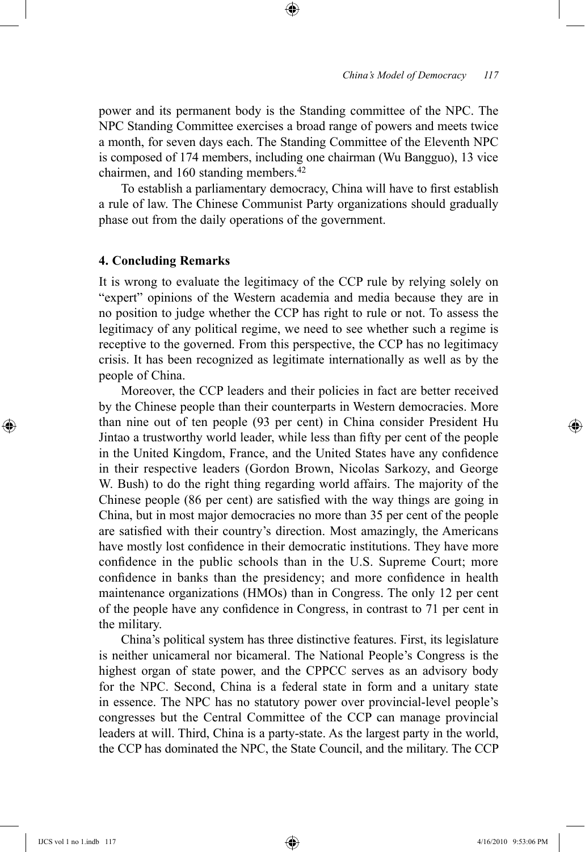power and its permanent body is the Standing committee of the NPC. The NPC Standing Committee exercises a broad range of powers and meets twice a month, for seven days each. The Standing Committee of the Eleventh NPC is composed of 174 members, including one chairman (Wu Bangguo), 13 vice chairmen, and 160 standing members.<sup>42</sup>

⊕

To establish a parliamentary democracy, China will have to first establish a rule of law. The Chinese Communist Party organizations should gradually phase out from the daily operations of the government.

## **4. Concluding Remarks**

It is wrong to evaluate the legitimacy of the CCP rule by relying solely on "expert" opinions of the Western academia and media because they are in no position to judge whether the CCP has right to rule or not. To assess the legitimacy of any political regime, we need to see whether such a regime is receptive to the governed. From this perspective, the CCP has no legitimacy crisis. It has been recognized as legitimate internationally as well as by the people of China.

Moreover, the CCP leaders and their policies in fact are better received by the Chinese people than their counterparts in Western democracies. More than nine out of ten people (93 per cent) in China consider President Hu Jintao a trustworthy world leader, while less than fifty per cent of the people in the United Kingdom, France, and the United States have any confidence in their respective leaders (Gordon Brown, Nicolas Sarkozy, and George W. Bush) to do the right thing regarding world affairs. The majority of the Chinese people (86 per cent) are satisfied with the way things are going in China, but in most major democracies no more than 35 per cent of the people are satisfied with their country's direction. Most amazingly, the Americans have mostly lost confidence in their democratic institutions. They have more confidence in the public schools than in the U.S. Supreme Court; more confidence in banks than the presidency; and more confidence in health maintenance organizations (HMOs) than in Congress. The only 12 per cent of the people have any confidence in Congress, in contrast to 71 per cent in the military.

China's political system has three distinctive features. First, its legislature is neither unicameral nor bicameral. The National People's Congress is the highest organ of state power, and the CPPCC serves as an advisory body for the NPC. Second, China is a federal state in form and a unitary state in essence. The NPC has no statutory power over provincial-level people's congresses but the Central Committee of the CCP can manage provincial leaders at will. Third, China is a party-state. As the largest party in the world, the CCP has dominated the NPC, the State Council, and the military. The CCP

⊕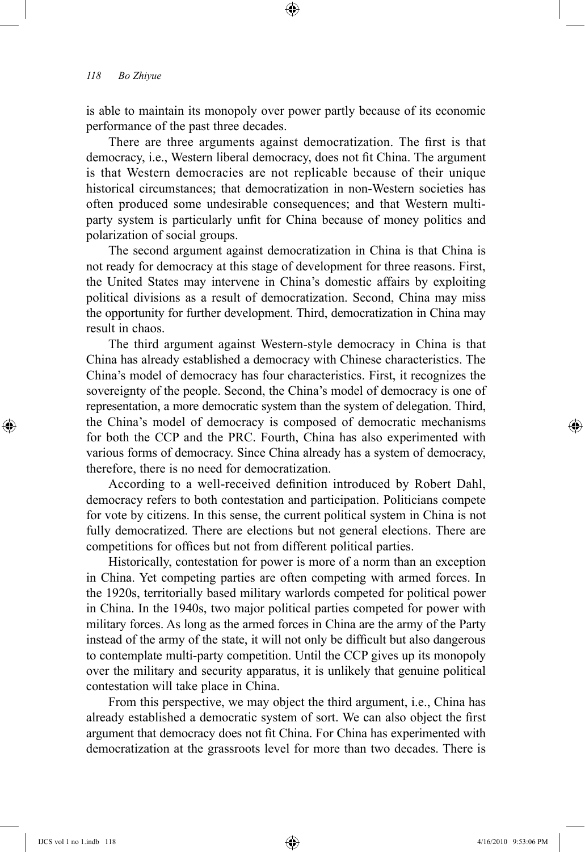is able to maintain its monopoly over power partly because of its economic performance of the past three decades.

⊕

There are three arguments against democratization. The first is that democracy, i.e., Western liberal democracy, does not fit China. The argument is that Western democracies are not replicable because of their unique historical circumstances; that democratization in non-Western societies has often produced some undesirable consequences; and that Western multiparty system is particularly unfit for China because of money politics and polarization of social groups.

The second argument against democratization in China is that China is not ready for democracy at this stage of development for three reasons. First, the United States may intervene in China's domestic affairs by exploiting political divisions as a result of democratization. Second, China may miss the opportunity for further development. Third, democratization in China may result in chaos.

The third argument against Western-style democracy in China is that China has already established a democracy with Chinese characteristics. The China's model of democracy has four characteristics. First, it recognizes the sovereignty of the people. Second, the China's model of democracy is one of representation, a more democratic system than the system of delegation. Third, the China's model of democracy is composed of democratic mechanisms for both the CCP and the PRC. Fourth, China has also experimented with various forms of democracy. Since China already has a system of democracy, therefore, there is no need for democratization.

According to a well-received definition introduced by Robert Dahl, democracy refers to both contestation and participation. Politicians compete for vote by citizens. In this sense, the current political system in China is not fully democratized. There are elections but not general elections. There are competitions for offices but not from different political parties.

Historically, contestation for power is more of a norm than an exception in China. Yet competing parties are often competing with armed forces. In the 1920s, territorially based military warlords competed for political power in China. In the 1940s, two major political parties competed for power with military forces. As long as the armed forces in China are the army of the Party instead of the army of the state, it will not only be difficult but also dangerous to contemplate multi-party competition. Until the CCP gives up its monopoly over the military and security apparatus, it is unlikely that genuine political contestation will take place in China.

From this perspective, we may object the third argument, i.e., China has already established a democratic system of sort. We can also object the first argument that democracy does not fit China. For China has experimented with democratization at the grassroots level for more than two decades. There is

⊕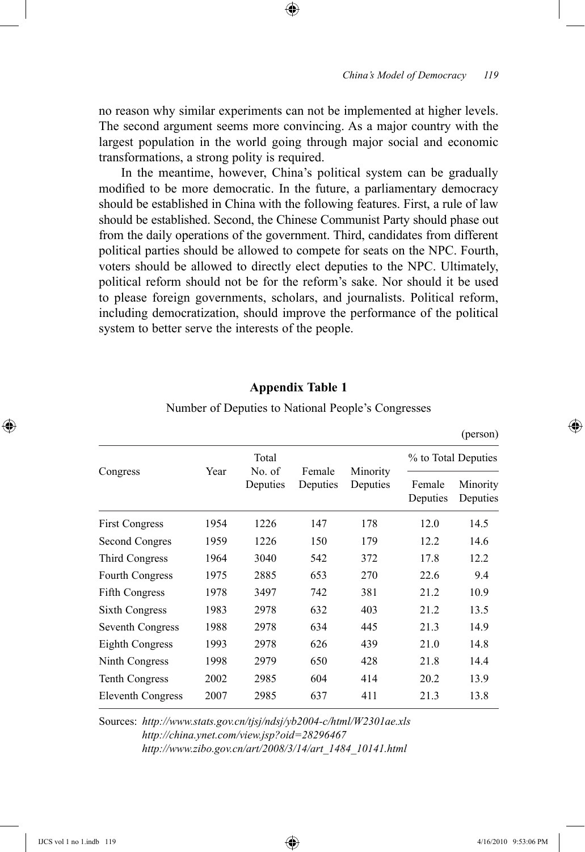no reason why similar experiments can not be implemented at higher levels. The second argument seems more convincing. As a major country with the largest population in the world going through major social and economic transformations, a strong polity is required.

⊕

In the meantime, however, China's political system can be gradually modified to be more democratic. In the future, a parliamentary democracy should be established in China with the following features. First, a rule of law should be established. Second, the Chinese Communist Party should phase out from the daily operations of the government. Third, candidates from different political parties should be allowed to compete for seats on the NPC. Fourth, voters should be allowed to directly elect deputies to the NPC. Ultimately, political reform should not be for the reform's sake. Nor should it be used to please foreign governments, scholars, and journalists. Political reform, including democratization, should improve the performance of the political system to better serve the interests of the people.

# **Appendix Table 1**

|                          |      |                             |                    |                      |                     | $(\mu\text{u}$ son)  |
|--------------------------|------|-----------------------------|--------------------|----------------------|---------------------|----------------------|
| Congress                 |      | Total<br>No. of<br>Deputies | Female<br>Deputies | Minority<br>Deputies | % to Total Deputies |                      |
|                          | Year |                             |                    |                      | Female<br>Deputies  | Minority<br>Deputies |
| <b>First Congress</b>    | 1954 | 1226                        | 147                | 178                  | 12.0                | 14.5                 |
| Second Congres           | 1959 | 1226                        | 150                | 179                  | 12.2                | 14.6                 |
| Third Congress           | 1964 | 3040                        | 542                | 372                  | 17.8                | 12.2                 |
| Fourth Congress          | 1975 | 2885                        | 653                | 270                  | 22.6                | 9.4                  |
| <b>Fifth Congress</b>    | 1978 | 3497                        | 742                | 381                  | 21.2                | 10.9                 |
| Sixth Congress           | 1983 | 2978                        | 632                | 403                  | 21.2                | 13.5                 |
| Seventh Congress         | 1988 | 2978                        | 634                | 445                  | 21.3                | 14.9                 |
| <b>Eighth Congress</b>   | 1993 | 2978                        | 626                | 439                  | 21.0                | 14.8                 |
| Ninth Congress           | 1998 | 2979                        | 650                | 428                  | 21.8                | 14.4                 |
| Tenth Congress           | 2002 | 2985                        | 604                | 414                  | 20.2                | 13.9                 |
| <b>Eleventh Congress</b> | 2007 | 2985                        | 637                | 411                  | 21.3                | 13.8                 |

#### Number of Deputies to National People's Congresses

Sources: *http://www.stats.gov.cn/tjsj/ndsj/yb2004-c/html/W2301ae.xls http://china.ynet.com/view.jsp?oid=28296467 http://www.zibo.gov.cn/art/2008/3/14/art\_1484\_10141.html*

⊕

⊕

 $(narrow)$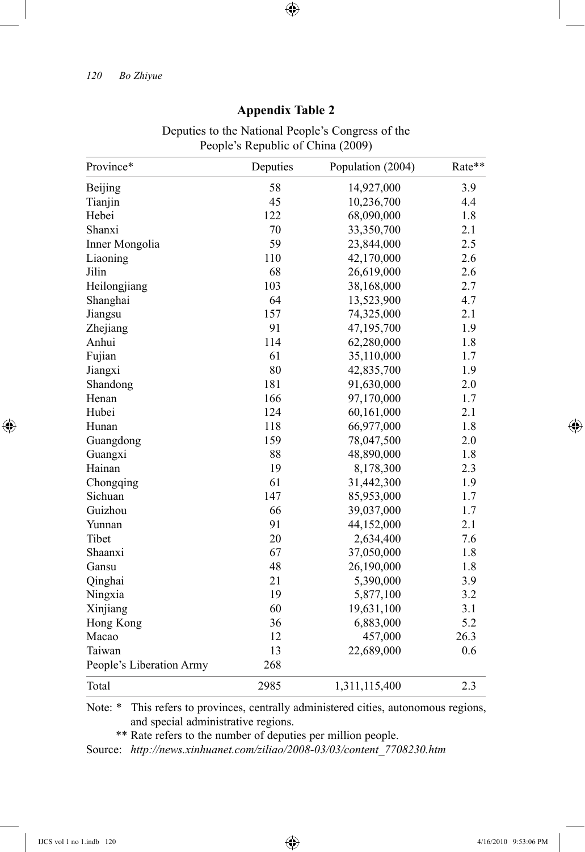|                          | People's Republic of Unina (2009) |                   |        |
|--------------------------|-----------------------------------|-------------------|--------|
| Province*                | Deputies                          | Population (2004) | Rate** |
| Beijing                  | 58                                | 14,927,000        | 3.9    |
| Tianjin                  | 45                                | 10,236,700        | 4.4    |
| Hebei                    | 122                               | 68,090,000        | 1.8    |
| Shanxi                   | 70                                | 33,350,700        | 2.1    |
| Inner Mongolia           | 59                                | 23,844,000        | 2.5    |
| Liaoning                 | 110                               | 42,170,000        | 2.6    |
| Jilin                    | 68                                | 26,619,000        | 2.6    |
| Heilongjiang             | 103                               | 38,168,000        | 2.7    |
| Shanghai                 | 64                                | 13,523,900        | 4.7    |
| Jiangsu                  | 157                               | 74,325,000        | 2.1    |
| Zhejiang                 | 91                                | 47,195,700        | 1.9    |
| Anhui                    | 114                               | 62,280,000        | 1.8    |
| Fujian                   | 61                                | 35,110,000        | 1.7    |
| Jiangxi                  | 80                                | 42,835,700        | 1.9    |
| Shandong                 | 181                               | 91,630,000        | 2.0    |
| Henan                    | 166                               | 97,170,000        | 1.7    |
| Hubei                    | 124                               | 60,161,000        | 2.1    |
| Hunan                    | 118                               | 66,977,000        | 1.8    |
| Guangdong                | 159                               | 78,047,500        | 2.0    |
| Guangxi                  | 88                                | 48,890,000        | 1.8    |
| Hainan                   | 19                                | 8,178,300         | 2.3    |
| Chongqing                | 61                                | 31,442,300        | 1.9    |
| Sichuan                  | 147                               | 85,953,000        | 1.7    |
| Guizhou                  | 66                                | 39,037,000        | 1.7    |
| Yunnan                   | 91                                | 44,152,000        | 2.1    |
| Tibet                    | 20                                | 2,634,400         | 7.6    |
| Shaanxi                  | 67                                | 37,050,000        | 1.8    |
| Gansu                    | 48                                | 26,190,000        | 1.8    |
| Qinghai                  | 21                                | 5,390,000         | 3.9    |
| Ningxia                  | 19                                | 5,877,100         | 3.2    |
| Xinjiang                 | 60                                | 19,631,100        | 3.1    |
| Hong Kong                | 36                                | 6,883,000         | 5.2    |
| Macao                    | 12                                | 457,000           | 26.3   |
| Taiwan                   | 13                                | 22,689,000        | 0.6    |
| People's Liberation Army | 268                               |                   |        |
| Total                    | 2985                              | 1,311,115,400     | 2.3    |

# **Appendix Table 2**

 $\bigoplus$ 

Deputies to the National People's Congress of the<br>people's Republic of China (2000) People's Republic of China (2009)

Note: \* This refers to provinces, centrally administered cities, autonomous regions, and special administrative regions.

\*\* Rate refers to the number of deputies per million people.

Source: *http://news.xinhuanet.com/ziliao/2008-03/03/content\_7708230.htm*

⊕

 $\bigoplus$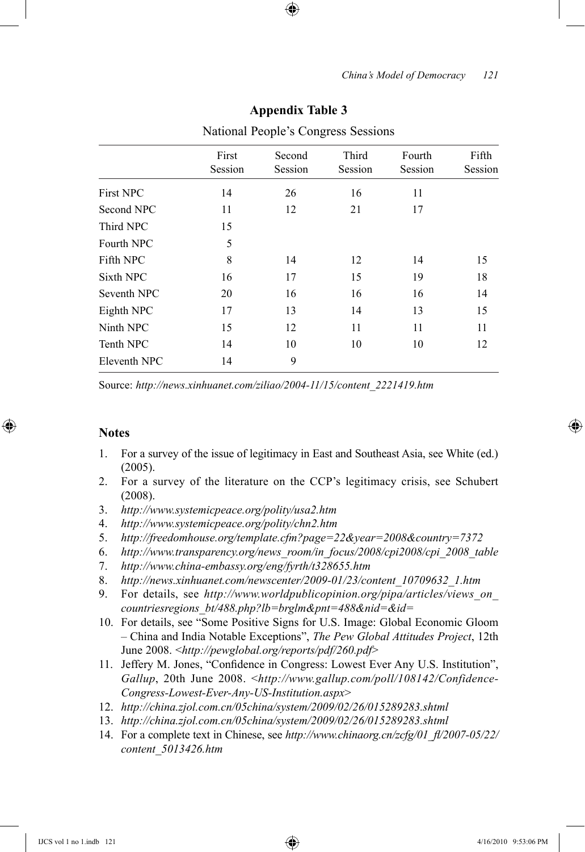|                  | First   | Second  | Third   | Fourth<br>Session | Fifth<br>Session |
|------------------|---------|---------|---------|-------------------|------------------|
|                  | Session | Session | Session |                   |                  |
| <b>First NPC</b> | 14      | 26      | 16      | 11                |                  |
| Second NPC       | 11      | 12      | 21      | 17                |                  |
| Third NPC        | 15      |         |         |                   |                  |
| Fourth NPC       | 5       |         |         |                   |                  |
| Fifth NPC        | 8       | 14      | 12      | 14                | 15               |
| Sixth NPC        | 16      | 17      | 15      | 19                | 18               |
| Seventh NPC      | 20      | 16      | 16      | 16                | 14               |
| Eighth NPC       | 17      | 13      | 14      | 13                | 15               |
| Ninth NPC        | 15      | 12      | 11      | 11                | 11               |
| Tenth NPC        | 14      | 10      | 10      | 10                | 12               |
| Eleventh NPC     | 14      | 9       |         |                   |                  |

#### **Appendix Table 3**

National People's Congress Sessions

Source: *http://news.xinhuanet.com/ziliao/2004-11/15/content\_2221419.htm*

### **Notes**

⊕

- 1. For a survey of the issue of legitimacy in East and Southeast Asia, see White (ed.) (2005).
- 2. For a survey of the literature on the CCP's legitimacy crisis, see Schubert (2008).
- 3. *http://www.systemicpeace.org/polity/usa2.htm*
- 4. *http://www.systemicpeace.org/polity/chn2.htm*
- 5. *http://freedomhouse.org/template.cfm?page=22&year=2008&country=7372*
- 6. *http://www.transparency.org/news\_room/in\_focus/2008/cpi2008/cpi\_2008\_table*
- 7. *http://www.china-embassy.org/eng/fyrth/t328655.htm*
- 8. *http://news.xinhuanet.com/newscenter/2009-01/23/content\_10709632\_1.htm*
- 9. For details, see *http://www.worldpublicopinion.org/pipa/articles/views\_on\_ countriesregions\_bt/488.php?lb=brglm&pnt=488&nid=&id=*
- 10. For details, see "Some Positive Signs for U.S. Image: Global Economic Gloom – China and India Notable Exceptions", *The Pew Global Attitudes Project*, 12th June 2008. <*http://pewglobal.org/reports/pdf/260.pdf*>
- 11. Jeffery M. Jones, "Confidence in Congress: Lowest Ever Any U.S. Institution", *Gallup*, 20th June 2008. <*http://www.gallup.com/poll/108142/Confidence-Congress-Lowest-Ever-Any-US-Institution.aspx*>
- 12. *http://china.zjol.com.cn/05china/system/2009/02/26/015289283.shtml*
- 13. *http://china.zjol.com.cn/05china/system/2009/02/26/015289283.shtml*
- 14. For a complete text in Chinese, see *http://www.chinaorg.cn/zcfg/01\_fl/2007-05/22/ content\_5013426.htm*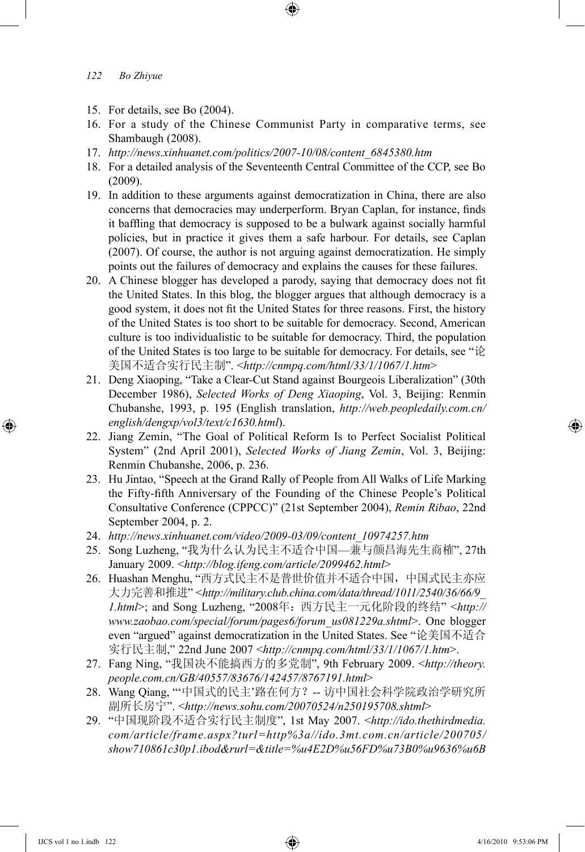- 15. For details, see Bo (2004).
- 16. For a study of the Chinese Communist Party in comparative terms, see Shambaugh (2008).
- 17. *http://news.xinhuanet.com/politics/2007-10/08/content\_6845380.htm*
- 18. For a detailed analysis of the Seventeenth Central Committee of the CCP, see Bo (2009).
- 19. In addition to these arguments against democratization in China, there are also concerns that democracies may underperform. Bryan Caplan, for instance, finds it baffling that democracy is supposed to be a bulwark against socially harmful policies, but in practice it gives them a safe harbour. For details, see Caplan (2007). Of course, the author is not arguing against democratization. He simply points out the failures of democracy and explains the causes for these failures.
- 20. A Chinese blogger has developed a parody, saying that democracy does not fit the United States. In this blog, the blogger argues that although democracy is a good system, it does not fit the United States for three reasons. First, the history of the United States is too short to be suitable for democracy. Second, American culture is too individualistic to be suitable for democracy. Third, the population of the United States is too large to be suitable for democracy. For details, see "论 美国不适合实行民主制". <*http://cnmpq.com/html/33/1/1067/1.htm*>
- 21. Deng Xiaoping, "Take a Clear-Cut Stand against Bourgeois Liberalization" (30th December 1986), *Selected Works of Deng Xiaoping*, Vol. 3, Beijing: Renmin Chubanshe, 1993, p. 195 (English translation, *http://web.peopledaily.com.cn/ english/dengxp/vol3/text/c1630.html*).
- 22. Jiang Zemin, "The Goal of Political Reform Is to Perfect Socialist Political System" (2nd April 2001), *Selected Works of Jiang Zemin*, Vol. 3, Beijing: Renmin Chubanshe, 2006, p. 236.
- 23. Hu Jintao, "Speech at the Grand Rally of People from All Walks of Life Marking the Fifty-fifth Anniversary of the Founding of the Chinese People's Political Consultative Conference (CPPCC)" (21st September 2004), *Remin Ribao*, 22nd September 2004, p. 2.
- 24. *http://news.xinhuanet.com/video/2009-03/09/content\_10974257.htm*
- 25. Song Luzheng, "我为什么认为民主不适合中国—兼与颜昌海先生商榷", 27th January 2009. <*http://blog.ifeng.com/article/2099462.html*>
- 26. Huashan Menghu, "西方式民主不是普世价值并不适合中国,中国式民主亦应 大力完善和推进" <*http://military.club.china.com/data/thread/1011/2540/36/66/9\_ 1.html*>; and Song Luzheng, "2008年:西方民主一元化阶段的终结" <*http:// www.zaobao.com/special/forum/pages6/forum\_us081229a.shtml*>. One blogger even "argued" against democratization in the United States. See "论美国不适合 实行民主制," 22nd June 2007 <*http://cnmpq.com/html/33/1/1067/1.htm*>.
- 27. Fang Ning, "我国决不能搞西方的多党制", 9th February 2009. <*http://theory. people.com.cn/GB/40557/83676/142457/8767191.html*>
- 28. Wang Qiang, "'中国式的民主'路在何方? -- 访中国社会科学院政治学研究所 副所长房宁". <*http://news.sohu.com/20070524/n250195708.shtml*>
- 29. "中国现阶段不适合实行民主制度", 1st May 2007. <*http://ido.thethirdmedia. com/article/frame.aspx?turl=http%3a//ido.3mt.com.cn/article/200705/ show710861c30p1.ibod&rurl=&title=%u4E2D%u56FD%u73B0%u9636%u6B*

⊕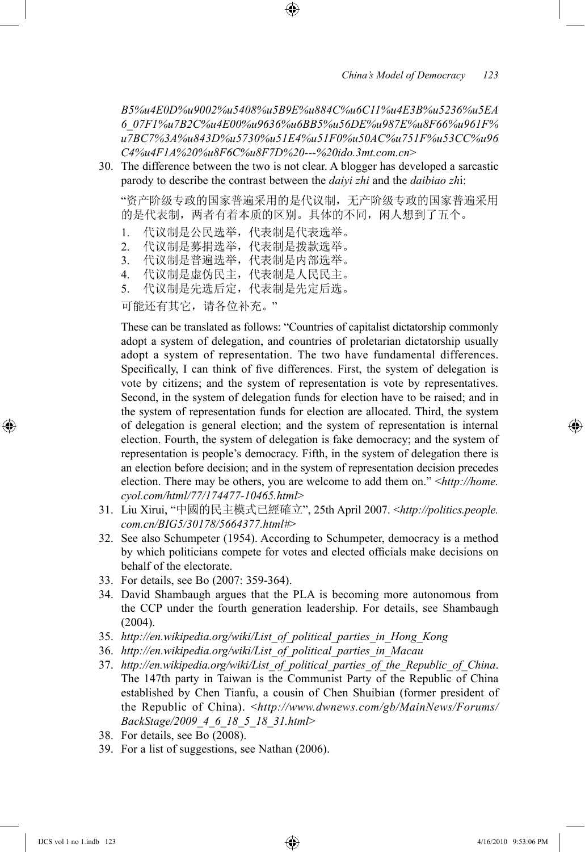*B5%u4E0D%u9002%u5408%u5B9E%u884C%u6C11%u4E3B%u5236%u5EA 6\_07F1%u7B2C%u4E00%u9636%u6BB5%u56DE%u987E%u8F66%u961F% u7BC7%3A%u843D%u5730%u51E4%u51F0%u50AC%u751F%u53CC%u96 C4%u4F1A%20%u8F6C%u8F7D%20---%20ido.3mt.com.cn*>

30. The difference between the two is not clear. A blogger has developed a sarcastic parody to describe the contrast between the *daiyi zhi* and the *daibiao zh*i:

"资产阶级专政的国家普遍采用的是代议制,无产阶级专政的国家普遍采用 的是代表制,两者有着本质的区别。具体的不同,闲人想到了五个。

- 1. 代议制是公民选举,代表制是代表选举。
- 2. 代议制是募捐选举,代表制是拨款选举。
- 3. 代议制是普遍选举,代表制是内部选举。
- 4. 代议制是虚伪民主,代表制是人民民主。
- 5. 代议制是先选后定,代表制是先定后选。

可能还有其它,请各位补充。"

 These can be translated as follows: "Countries of capitalist dictatorship commonly adopt a system of delegation, and countries of proletarian dictatorship usually adopt a system of representation. The two have fundamental differences. Specifically, I can think of five differences. First, the system of delegation is vote by citizens; and the system of representation is vote by representatives. Second, in the system of delegation funds for election have to be raised; and in the system of representation funds for election are allocated. Third, the system of delegation is general election; and the system of representation is internal election. Fourth, the system of delegation is fake democracy; and the system of representation is people's democracy. Fifth, in the system of delegation there is an election before decision; and in the system of representation decision precedes election. There may be others, you are welcome to add them on." <*http://home. cyol.com/html/77/174477-10465.html*>

- 31. Liu Xirui, "中國的民主模式已經確立", 25th April 2007. <*http://politics.people. com.cn/BIG5/30178/5664377.html#*>
- 32. See also Schumpeter (1954). According to Schumpeter, democracy is a method by which politicians compete for votes and elected officials make decisions on behalf of the electorate.
- 33. For details, see Bo (2007: 359-364).
- 34. David Shambaugh argues that the PLA is becoming more autonomous from the CCP under the fourth generation leadership. For details, see Shambaugh  $(2004)$ .
- 35. *http://en.wikipedia.org/wiki/List\_of\_political\_parties\_in\_Hong\_Kong*
- 36. *http://en.wikipedia.org/wiki/List\_of\_political\_parties\_in\_Macau*
- 37. *http://en.wikipedia.org/wiki/List\_of\_political\_parties\_of\_the\_Republic\_of\_China*. The 147th party in Taiwan is the Communist Party of the Republic of China established by Chen Tianfu, a cousin of Chen Shuibian (former president of the Republic of China). <*http://www.dwnews.com/gb/MainNews/Forums/ BackStage/2009\_4\_6\_18\_5\_18\_31.html*>
- 38. For details, see Bo (2008).
- 39. For a list of suggestions, see Nathan (2006).

⊕